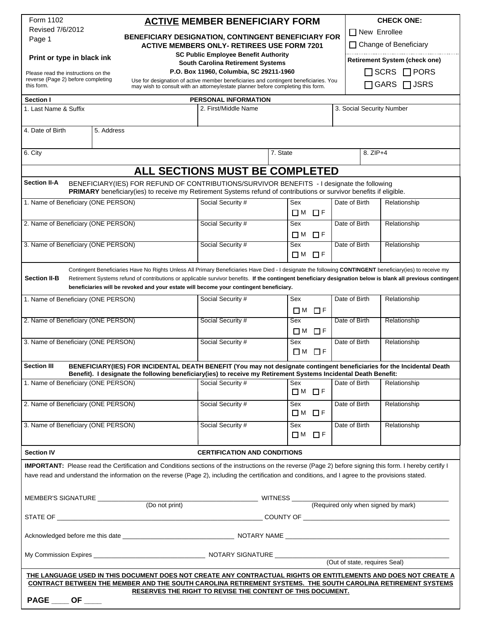| Form 1102                                                                                                                                                                                                                                |            |                                                                                                                                                                  |                                                                                     |                      |                           |                                                                                                                                                              |  |
|------------------------------------------------------------------------------------------------------------------------------------------------------------------------------------------------------------------------------------------|------------|------------------------------------------------------------------------------------------------------------------------------------------------------------------|-------------------------------------------------------------------------------------|----------------------|---------------------------|--------------------------------------------------------------------------------------------------------------------------------------------------------------|--|
| Revised 7/6/2012<br>Page 1                                                                                                                                                                                                               |            | <b>ACTIVE MEMBER BENEFICIARY FORM</b><br>BENEFICIARY DESIGNATION, CONTINGENT BENEFICIARY FOR<br><b>ACTIVE MEMBERS ONLY- RETIREES USE FORM 7201</b>               |                                                                                     |                      |                           | <b>CHECK ONE:</b><br>$\Box$ New Enrollee<br>□ Change of Beneficiary                                                                                          |  |
|                                                                                                                                                                                                                                          |            |                                                                                                                                                                  |                                                                                     |                      |                           |                                                                                                                                                              |  |
|                                                                                                                                                                                                                                          |            |                                                                                                                                                                  |                                                                                     |                      |                           |                                                                                                                                                              |  |
| Print or type in black ink                                                                                                                                                                                                               |            |                                                                                                                                                                  | <b>SC Public Employee Benefit Authority</b>                                         |                      |                           | <b>Retirement System (check one)</b>                                                                                                                         |  |
|                                                                                                                                                                                                                                          |            |                                                                                                                                                                  | <b>South Carolina Retirement Systems</b><br>P.O. Box 11960, Columbia, SC 29211-1960 |                      |                           | $\Box$ SCRS $\Box$ PORS                                                                                                                                      |  |
| Please read the instructions on the<br>reverse (Page 2) before completing                                                                                                                                                                |            | Use for designation of active member beneficiaries and contingent beneficiaries. You                                                                             |                                                                                     |                      |                           |                                                                                                                                                              |  |
| this form.                                                                                                                                                                                                                               |            | may wish to consult with an attorney/estate planner before completing this form.                                                                                 |                                                                                     |                      |                           | GARS □ JSRS                                                                                                                                                  |  |
| <b>Section I</b>                                                                                                                                                                                                                         |            |                                                                                                                                                                  | PERSONAL INFORMATION                                                                |                      |                           |                                                                                                                                                              |  |
| 1. Last Name & Suffix                                                                                                                                                                                                                    |            |                                                                                                                                                                  | 2. First/Middle Name                                                                |                      | 3. Social Security Number |                                                                                                                                                              |  |
|                                                                                                                                                                                                                                          |            |                                                                                                                                                                  |                                                                                     |                      |                           |                                                                                                                                                              |  |
| 4. Date of Birth                                                                                                                                                                                                                         | 5. Address |                                                                                                                                                                  |                                                                                     |                      |                           |                                                                                                                                                              |  |
|                                                                                                                                                                                                                                          |            |                                                                                                                                                                  |                                                                                     |                      |                           |                                                                                                                                                              |  |
| 6. City                                                                                                                                                                                                                                  |            |                                                                                                                                                                  |                                                                                     | 7. State             | 8. ZIP+4                  |                                                                                                                                                              |  |
|                                                                                                                                                                                                                                          |            |                                                                                                                                                                  |                                                                                     |                      |                           |                                                                                                                                                              |  |
| ALL SECTIONS MUST BE COMPLETED                                                                                                                                                                                                           |            |                                                                                                                                                                  |                                                                                     |                      |                           |                                                                                                                                                              |  |
| <b>Section II-A</b><br>BENEFICIARY(IES) FOR REFUND OF CONTRIBUTIONS/SURVIVOR BENEFITS - I designate the following<br>PRIMARY beneficiary(ies) to receive my Retirement Systems refund of contributions or survivor benefits if eligible. |            |                                                                                                                                                                  |                                                                                     |                      |                           |                                                                                                                                                              |  |
| 1. Name of Beneficiary (ONE PERSON)                                                                                                                                                                                                      |            |                                                                                                                                                                  | Social Security #                                                                   | Sex                  | Date of Birth             | Relationship                                                                                                                                                 |  |
|                                                                                                                                                                                                                                          |            |                                                                                                                                                                  |                                                                                     | $\Box$ M $\Box$ F    |                           |                                                                                                                                                              |  |
| 2. Name of Beneficiary (ONE PERSON)                                                                                                                                                                                                      |            |                                                                                                                                                                  | Social Security #                                                                   | Sex                  | Date of Birth             | Relationship                                                                                                                                                 |  |
|                                                                                                                                                                                                                                          |            |                                                                                                                                                                  |                                                                                     | <b>□M</b> □F         |                           |                                                                                                                                                              |  |
| 3. Name of Beneficiary (ONE PERSON)                                                                                                                                                                                                      |            |                                                                                                                                                                  | Social Security #                                                                   | Sex<br>□M □F         | Date of Birth             | Relationship                                                                                                                                                 |  |
|                                                                                                                                                                                                                                          |            |                                                                                                                                                                  |                                                                                     |                      |                           |                                                                                                                                                              |  |
| <b>Section II-B</b>                                                                                                                                                                                                                      |            | Contingent Beneficiaries Have No Rights Unless All Primary Beneficiaries Have Died - I designate the following CONTINGENT beneficiary(ies) to receive my         |                                                                                     |                      |                           | Retirement Systems refund of contributions or applicable survivor benefits. If the contingent beneficiary designation below is blank all previous contingent |  |
|                                                                                                                                                                                                                                          |            | beneficiaries will be revoked and your estate will become your contingent beneficiary.                                                                           |                                                                                     |                      |                           |                                                                                                                                                              |  |
| 1. Name of Beneficiary (ONE PERSON)                                                                                                                                                                                                      |            |                                                                                                                                                                  | Social Security #                                                                   | Sex                  | Date of Birth             | Relationship                                                                                                                                                 |  |
|                                                                                                                                                                                                                                          |            |                                                                                                                                                                  |                                                                                     | □ M □ F              |                           |                                                                                                                                                              |  |
| 2. Name of Beneficiary (ONE PERSON)                                                                                                                                                                                                      |            |                                                                                                                                                                  | Social Security #                                                                   | Sex                  | Date of Birth             | Relationship                                                                                                                                                 |  |
|                                                                                                                                                                                                                                          |            |                                                                                                                                                                  |                                                                                     | $\Box$ M<br>$\Box$ F |                           |                                                                                                                                                              |  |
| 3. Name of Beneficiary (ONE PERSON)                                                                                                                                                                                                      |            |                                                                                                                                                                  | Social Security #                                                                   | Sex                  | Date of Birth             | Relationship                                                                                                                                                 |  |
|                                                                                                                                                                                                                                          |            |                                                                                                                                                                  |                                                                                     | $\square$ M<br>□ F   |                           |                                                                                                                                                              |  |
| <b>Section III</b><br>BENEFICIARY(IES) FOR INCIDENTAL DEATH BENEFIT (You may not designate contingent beneficiaries for the Incidental Death                                                                                             |            |                                                                                                                                                                  |                                                                                     |                      |                           |                                                                                                                                                              |  |
| Benefit). I designate the following beneficiary(ies) to receive my Retirement Systems Incidental Death Benefit:                                                                                                                          |            |                                                                                                                                                                  |                                                                                     |                      |                           |                                                                                                                                                              |  |
| 1. Name of Beneficiary (ONE PERSON)                                                                                                                                                                                                      |            |                                                                                                                                                                  | Social Security #                                                                   | Sex                  | Date of Birth             | Relationship                                                                                                                                                 |  |
|                                                                                                                                                                                                                                          |            |                                                                                                                                                                  |                                                                                     | <b>□M</b> □F         |                           |                                                                                                                                                              |  |
| 2. Name of Beneficiary (ONE PERSON)                                                                                                                                                                                                      |            |                                                                                                                                                                  | Social Security #                                                                   | Sex                  | Date of Birth             | Relationship                                                                                                                                                 |  |
|                                                                                                                                                                                                                                          |            |                                                                                                                                                                  |                                                                                     | <b>□M</b> □F         |                           |                                                                                                                                                              |  |
| 3. Name of Beneficiary (ONE PERSON)                                                                                                                                                                                                      |            |                                                                                                                                                                  | Social Security #                                                                   | Sex                  | Date of Birth             | Relationship                                                                                                                                                 |  |
|                                                                                                                                                                                                                                          |            |                                                                                                                                                                  |                                                                                     | $\Box$ M<br>口日       |                           |                                                                                                                                                              |  |
| <b>Section IV</b>                                                                                                                                                                                                                        |            |                                                                                                                                                                  | <b>CERTIFICATION AND CONDITIONS</b>                                                 |                      |                           |                                                                                                                                                              |  |
|                                                                                                                                                                                                                                          |            | <b>IMPORTANT:</b> Please read the Certification and Conditions sections of the instructions on the reverse (Page 2) before signing this form. I hereby certify I |                                                                                     |                      |                           |                                                                                                                                                              |  |
|                                                                                                                                                                                                                                          |            | have read and understand the information on the reverse (Page 2), including the certification and conditions, and I agree to the provisions stated.              |                                                                                     |                      |                           |                                                                                                                                                              |  |
|                                                                                                                                                                                                                                          |            |                                                                                                                                                                  |                                                                                     |                      |                           |                                                                                                                                                              |  |
| MEMBER'S SIGNATURE ____________                                                                                                                                                                                                          |            |                                                                                                                                                                  |                                                                                     |                      |                           |                                                                                                                                                              |  |
|                                                                                                                                                                                                                                          |            | (Do not print)                                                                                                                                                   | MITNESS (Required only when signed by mark)                                         |                      |                           |                                                                                                                                                              |  |
|                                                                                                                                                                                                                                          |            |                                                                                                                                                                  |                                                                                     |                      |                           |                                                                                                                                                              |  |
|                                                                                                                                                                                                                                          |            |                                                                                                                                                                  |                                                                                     |                      |                           |                                                                                                                                                              |  |
|                                                                                                                                                                                                                                          |            |                                                                                                                                                                  |                                                                                     |                      |                           |                                                                                                                                                              |  |
|                                                                                                                                                                                                                                          |            |                                                                                                                                                                  |                                                                                     |                      |                           |                                                                                                                                                              |  |
| (Out of state, requires Seal)                                                                                                                                                                                                            |            |                                                                                                                                                                  |                                                                                     |                      |                           |                                                                                                                                                              |  |
|                                                                                                                                                                                                                                          |            |                                                                                                                                                                  |                                                                                     |                      |                           | THE LANGUAGE USED IN THIS DOCUMENT DOES NOT CREATE ANY CONTRACTUAL RIGHTS OR ENTITLEMENTS AND DOES NOT CREATE A                                              |  |
|                                                                                                                                                                                                                                          |            |                                                                                                                                                                  |                                                                                     |                      |                           | <b>CONTRACT BETWEEN THE MEMBER AND THE SOUTH CAROLINA RETIREMENT SYSTEMS. THE SOUTH CAROLINA RETIREMENT SYSTEMS</b>                                          |  |
|                                                                                                                                                                                                                                          |            |                                                                                                                                                                  | RESERVES THE RIGHT TO REVISE THE CONTENT OF THIS DOCUMENT.                          |                      |                           |                                                                                                                                                              |  |
| PAGE ____ OF ____                                                                                                                                                                                                                        |            |                                                                                                                                                                  |                                                                                     |                      |                           |                                                                                                                                                              |  |